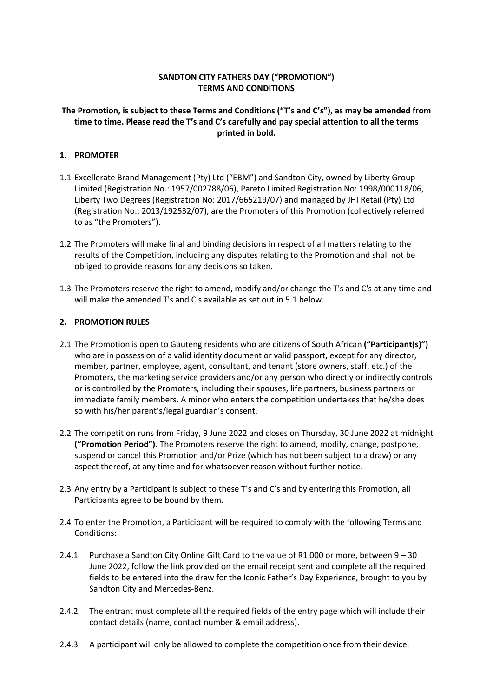## **SANDTON CITY FATHERS DAY ("PROMOTION") TERMS AND CONDITIONS**

# **The Promotion, is subject to these Terms and Conditions ("T's and C's"), as may be amended from time to time. Please read the T's and C's carefully and pay special attention to all the terms printed in bold.**

## **1. PROMOTER**

- 1.1 Excellerate Brand Management (Pty) Ltd ("EBM") and Sandton City, owned by Liberty Group Limited (Registration No.: 1957/002788/06), Pareto Limited Registration No: 1998/000118/06, Liberty Two Degrees (Registration No: 2017/665219/07) and managed by JHI Retail (Pty) Ltd (Registration No.: 2013/192532/07), are the Promoters of this Promotion (collectively referred to as "the Promoters").
- 1.2 The Promoters will make final and binding decisions in respect of all matters relating to the results of the Competition, including any disputes relating to the Promotion and shall not be obliged to provide reasons for any decisions so taken.
- 1.3 The Promoters reserve the right to amend, modify and/or change the T's and C's at any time and will make the amended T's and C's available as set out in 5.1 below.

## **2. PROMOTION RULES**

- 2.1 The Promotion is open to Gauteng residents who are citizens of South African **("Participant(s)")**  who are in possession of a valid identity document or valid passport, except for any director, member, partner, employee, agent, consultant, and tenant (store owners, staff, etc.) of the Promoters, the marketing service providers and/or any person who directly or indirectly controls or is controlled by the Promoters, including their spouses, life partners, business partners or immediate family members. A minor who enters the competition undertakes that he/she does so with his/her parent's/legal guardian's consent.
- 2.2 The competition runs from Friday, 9 June 2022 and closes on Thursday, 30 June 2022 at midnight **("Promotion Period")**. The Promoters reserve the right to amend, modify, change, postpone, suspend or cancel this Promotion and/or Prize (which has not been subject to a draw) or any aspect thereof, at any time and for whatsoever reason without further notice.
- 2.3 Any entry by a Participant is subject to these T's and C's and by entering this Promotion, all Participants agree to be bound by them.
- 2.4 To enter the Promotion, a Participant will be required to comply with the following Terms and Conditions:
- 2.4.1 Purchase a Sandton City Online Gift Card to the value of R1 000 or more, between 9 30 June 2022, follow the link provided on the email receipt sent and complete all the required fields to be entered into the draw for the Iconic Father's Day Experience, brought to you by Sandton City and Mercedes-Benz.
- 2.4.2 The entrant must complete all the required fields of the entry page which will include their contact details (name, contact number & email address).
- 2.4.3 A participant will only be allowed to complete the competition once from their device.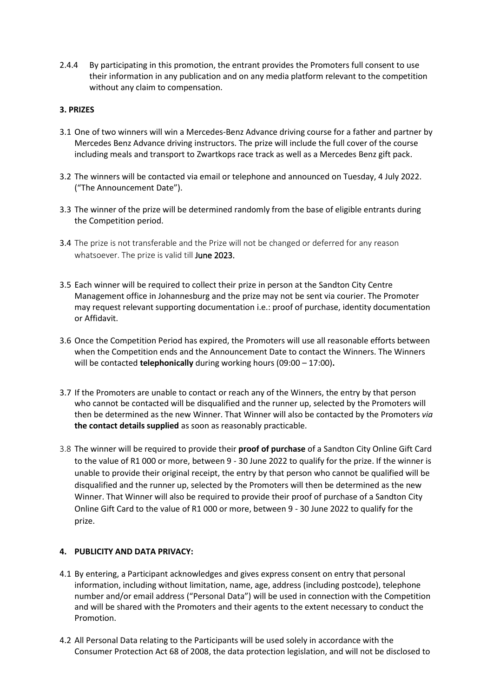2.4.4 By participating in this promotion, the entrant provides the Promoters full consent to use their information in any publication and on any media platform relevant to the competition without any claim to compensation.

## **3. PRIZES**

- 3.1 One of two winners will win a Mercedes-Benz Advance driving course for a father and partner by Mercedes Benz Advance driving instructors. The prize will include the full cover of the course including meals and transport to Zwartkops race track as well as a Mercedes Benz gift pack.
- 3.2 The winners will be contacted via email or telephone and announced on Tuesday, 4 July 2022. ("The Announcement Date").
- 3.3 The winner of the prize will be determined randomly from the base of eligible entrants during the Competition period.
- 3.4 The prize is not transferable and the Prize will not be changed or deferred for any reason whatsoever. The prize is valid till June 2023.
- 3.5 Each winner will be required to collect their prize in person at the Sandton City Centre Management office in Johannesburg and the prize may not be sent via courier. The Promoter may request relevant supporting documentation i.e.: proof of purchase, identity documentation or Affidavit.
- 3.6 Once the Competition Period has expired, the Promoters will use all reasonable efforts between when the Competition ends and the Announcement Date to contact the Winners. The Winners will be contacted **telephonically** during working hours (09:00 – 17:00)**.**
- 3.7 If the Promoters are unable to contact or reach any of the Winners, the entry by that person who cannot be contacted will be disqualified and the runner up, selected by the Promoters will then be determined as the new Winner. That Winner will also be contacted by the Promoters *via*  **the contact details supplied** as soon as reasonably practicable.
- 3.8 The winner will be required to provide their **proof of purchase** of a Sandton City Online Gift Card to the value of R1 000 or more, between 9 - 30 June 2022 to qualify for the prize. If the winner is unable to provide their original receipt, the entry by that person who cannot be qualified will be disqualified and the runner up, selected by the Promoters will then be determined as the new Winner. That Winner will also be required to provide their proof of purchase of a Sandton City Online Gift Card to the value of R1 000 or more, between 9 - 30 June 2022 to qualify for the prize.

#### **4. PUBLICITY AND DATA PRIVACY:**

- 4.1 By entering, a Participant acknowledges and gives express consent on entry that personal information, including without limitation, name, age, address (including postcode), telephone number and/or email address ("Personal Data") will be used in connection with the Competition and will be shared with the Promoters and their agents to the extent necessary to conduct the Promotion.
- 4.2 All Personal Data relating to the Participants will be used solely in accordance with the Consumer Protection Act 68 of 2008, the data protection legislation, and will not be disclosed to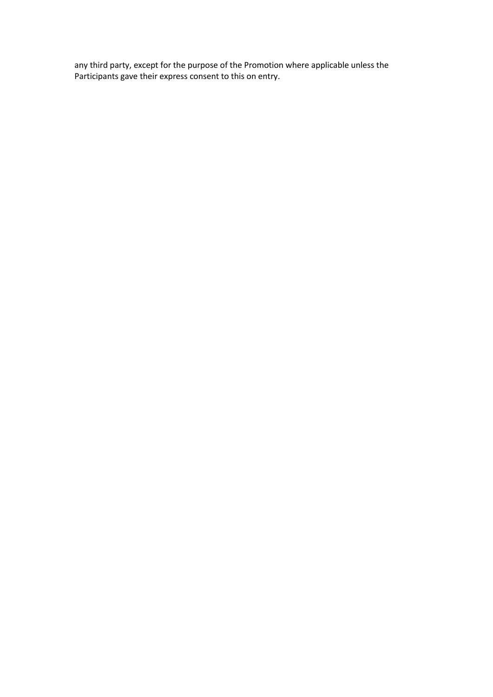any third party, except for the purpose of the Promotion where applicable unless the Participants gave their express consent to this on entry.